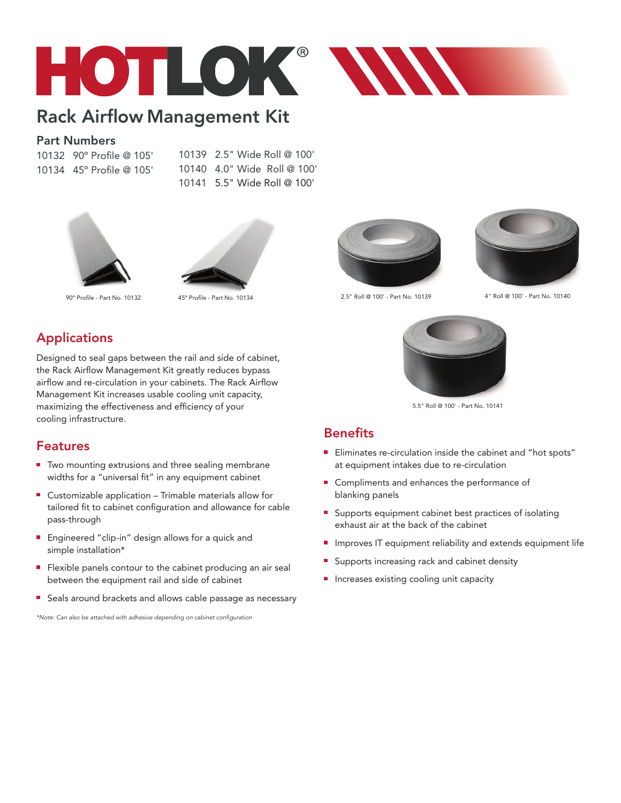

# Rack Airflow Management Kit

#### Part Numbers

10132 90º Profile @ 105' 10134 45º Profile @ 105' 10139 2.5" Wide Roll @ 100' 10140 4.0" Wide Roll @ 100' 10141 5.5" Wide Roll @ 100'





## Applications

Designed to seal gaps between the rail and side of cabinet, the Rack Airflow Management Kit greatly reduces bypass airflow and re-circulation in your cabinets. The Rack Airflow Management Kit increases usable cooling unit capacity, maximizing the effectiveness and efficiency of your cooling infrastructure.

#### Features

- Two mounting extrusions and three sealing membrane widths for a "universal fit" in any equipment cabinet
- Customizable application Trimable materials allow for tailored fit to cabinet configuration and allowance for cable pass-through
- Engineered "clip-in" design allows for a quick and simple installation\*
- Flexible panels contour to the cabinet producing an air seal between the equipment rail and side of cabinet
- Seals around brackets and allows cable passage as necessary

*\*Note: Can also be attached with adhesive depending on cabinet configuration*





90º Profile - Part No. 10132 45º Profile - Part No. 10134 2.5" Roll @ 100' - Part No. 10139 4" Roll @ 100' - Part No. 10140



5.5" Roll @ 100' - Part No. 10141

### **Benefits**

- Eliminates re-circulation inside the cabinet and "hot spots" at equipment intakes due to re-circulation
- Compliments and enhances the performance of blanking panels
- **Supports equipment cabinet best practices of isolating** exhaust air at the back of the cabinet
- **Improves IT equipment reliability and extends equipment life**
- Supports increasing rack and cabinet density
- **Increases existing cooling unit capacity**